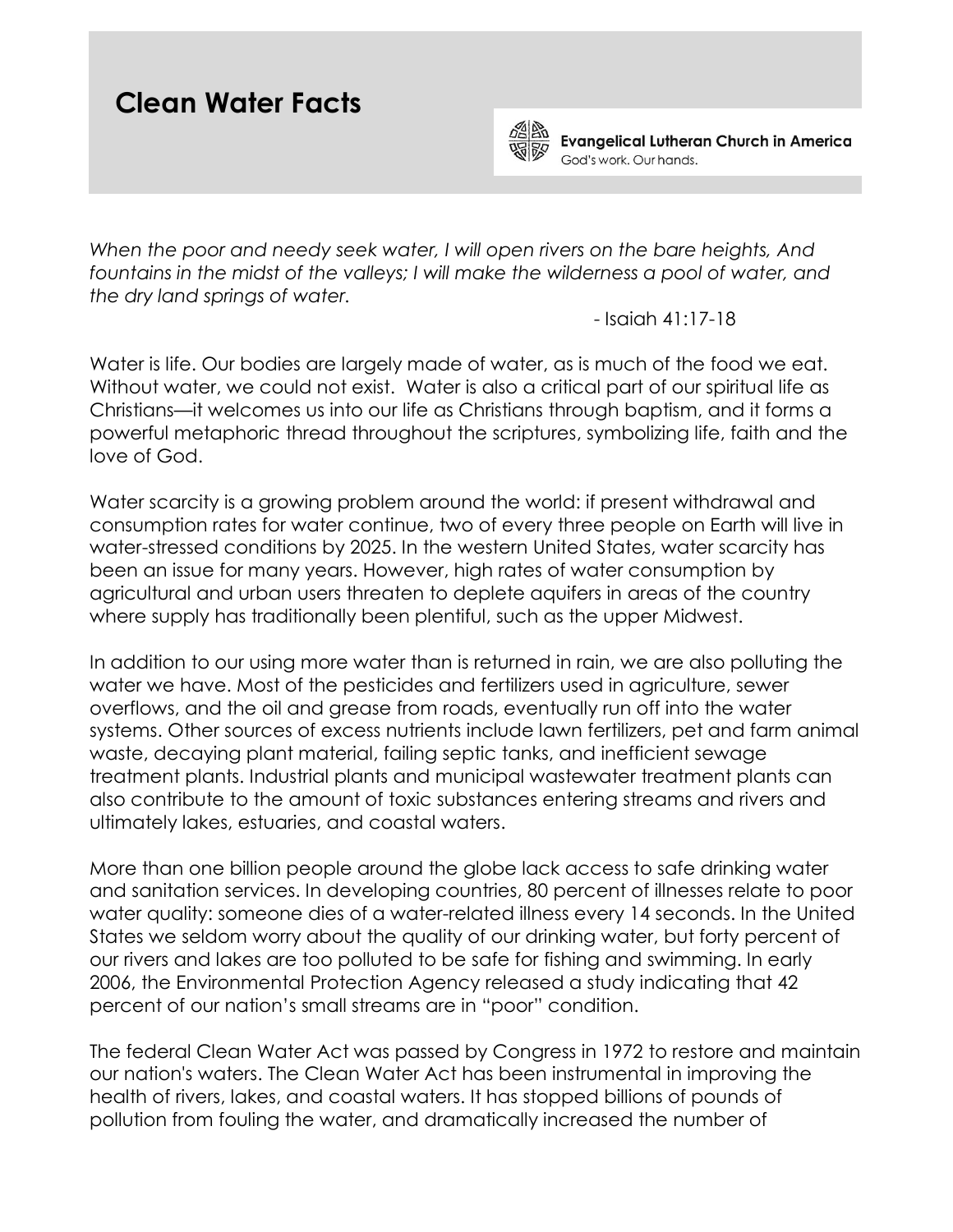## **Clean Water Facts**



**Evangelical Lutheran Church in America** God's work. Our hands.

*When the poor and needy seek water, I will open rivers on the bare heights, And*  fountains in the midst of the valleys; I will make the wilderness a pool of water, and *the dry land springs of water.* 

- Isaiah 41:17-18

Water is life. Our bodies are largely made of water, as is much of the food we eat. Without water, we could not exist. Water is also a critical part of our spiritual life as Christians—it welcomes us into our life as Christians through baptism, and it forms a powerful metaphoric thread throughout the scriptures, symbolizing life, faith and the love of God.

Water scarcity is a growing problem around the world: if present withdrawal and consumption rates for water continue, two of every three people on Earth will live in water-stressed conditions by 2025. In the western United States, water scarcity has been an issue for many years. However, high rates of water consumption by agricultural and urban users threaten to deplete aquifers in areas of the country where supply has traditionally been plentiful, such as the upper Midwest.

In addition to our using more water than is returned in rain, we are also polluting the water we have. Most of the pesticides and fertilizers used in agriculture, sewer overflows, and the oil and grease from roads, eventually run off into the water systems. Other sources of excess nutrients include lawn fertilizers, pet and farm animal waste, decaying plant material, failing septic tanks, and inefficient sewage treatment plants. Industrial plants and municipal wastewater treatment plants can also contribute to the amount of toxic substances entering streams and rivers and ultimately lakes, estuaries, and coastal waters.

More than one billion people around the globe lack access to safe drinking water and sanitation services. In developing countries, 80 percent of illnesses relate to poor water quality: someone dies of a water-related illness every 14 seconds. In the United States we seldom worry about the quality of our drinking water, but forty percent of our rivers and lakes are too polluted to be safe for fishing and swimming. In early 2006, the Environmental Protection Agency released a study indicating that 42 percent of our nation's small streams are in "poor" condition.

The federal Clean Water Act was passed by Congress in 1972 to restore and maintain our nation's waters. The Clean Water Act has been instrumental in improving the health of rivers, lakes, and coastal waters. It has stopped billions of pounds of pollution from fouling the water, and dramatically increased the number of